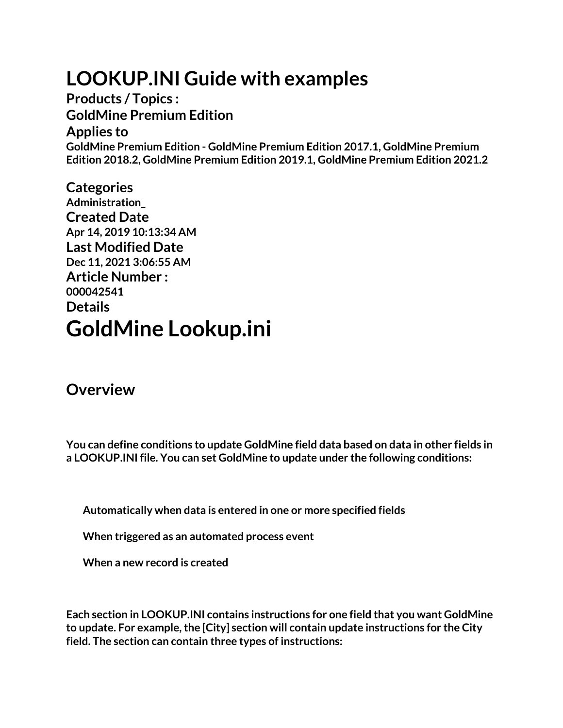## **LOOKUP.INI Guide with examples**

**Products / Topics : GoldMine Premium Edition Applies to GoldMine Premium Edition - GoldMine Premium Edition 2017.1, GoldMine Premium Edition 2018.2, GoldMine Premium Edition 2019.1, GoldMine Premium Edition 2021.2**

**Categories Administration\_ Created Date Apr 14, 2019 10:13:34 AM Last Modified Date Dec 11, 2021 3:06:55 AM Article Number : 000042541 Details GoldMine Lookup.ini**

#### **Overview**

**You can define conditions to update GoldMine field data based on data in other fields in a LOOKUP.INI file. You can set GoldMine to update under the following conditions:**

**Automatically when data is entered in one or more specified fields**

**When triggered as an automated process event**

**When a new record is created**

**Each section in LOOKUP.INI contains instructions for one field that you want GoldMine to update. For example, the [City] section will contain update instructions for the City field. The section can contain three types of instructions:**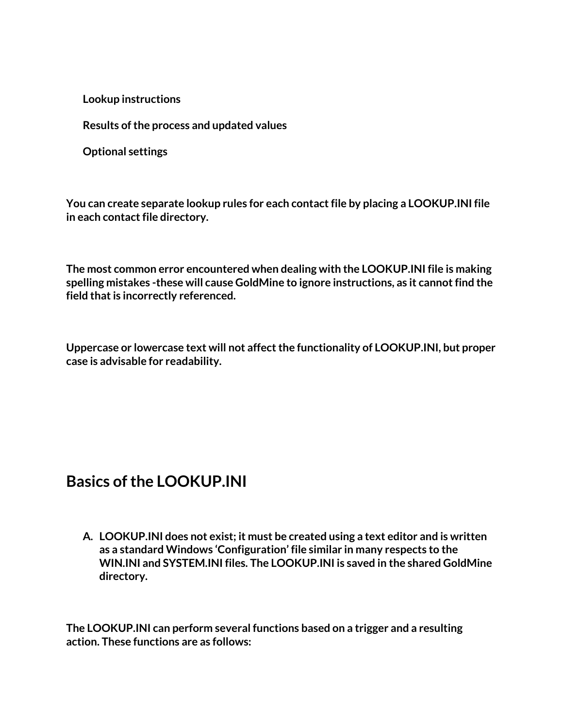**Lookup instructions**

**Results of the process and updated values**

**Optional settings**

**You can create separate lookup rules for each contact file by placing a LOOKUP.INI file in each contact file directory.**

**The most common error encountered when dealing with the LOOKUP.INI file is making spelling mistakes -these will cause GoldMine to ignore instructions, as it cannot find the field that is incorrectly referenced.**

**Uppercase or lowercase text will not affect the functionality of LOOKUP.INI, but proper case is advisable for readability.**

#### **Basics of the LOOKUP.INI**

**A. LOOKUP.INI does not exist; it must be created using a text editor and is written as a standard Windows 'Configuration' file similar in many respects to the WIN.INI and SYSTEM.INI files. The LOOKUP.INI is saved in the shared GoldMine directory.**

**The LOOKUP.INI can perform several functions based on a trigger and a resulting action. These functions are as follows:**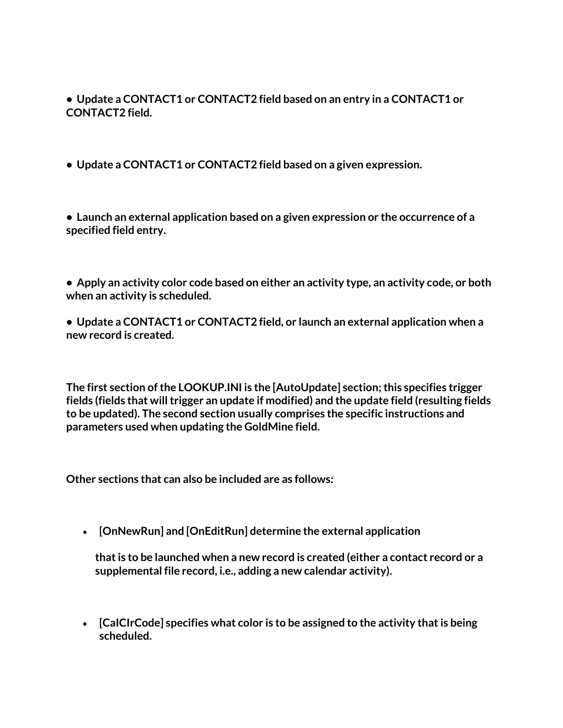**• Update a CONTACT1 or CONTACT2 field based on an entry in a CONTACT1 or CONTACT2 field.**

**• Update a CONTACT1 or CONTACT2 field based on a given expression.**

**• Launch an external application based on a given expression or the occurrence of a specified field entry.**

**• Apply an activity color code based on either an activity type, an activity code, or both when an activity is scheduled.**

**• Update a CONTACT1 or CONTACT2 field, or launch an external application when a new record is created.**

**The first section of the LOOKUP.INI is the [AutoUpdate] section; this specifies trigger fields (fields that will trigger an update if modified) and the update field (resulting fields to be updated). The second section usually comprises the specific instructions and parameters used when updating the GoldMine field.**

**Other sections that can also be included are as follows:**

• **[OnNewRun] and [OnEditRun] determine the external application**

**that is to be launched when a new record is created (either a contact record or a supplemental file record, i.e., adding a new calendar activity).**

• **[CaICIrCode] specifies what color is to be assigned to the activity that is being scheduled.**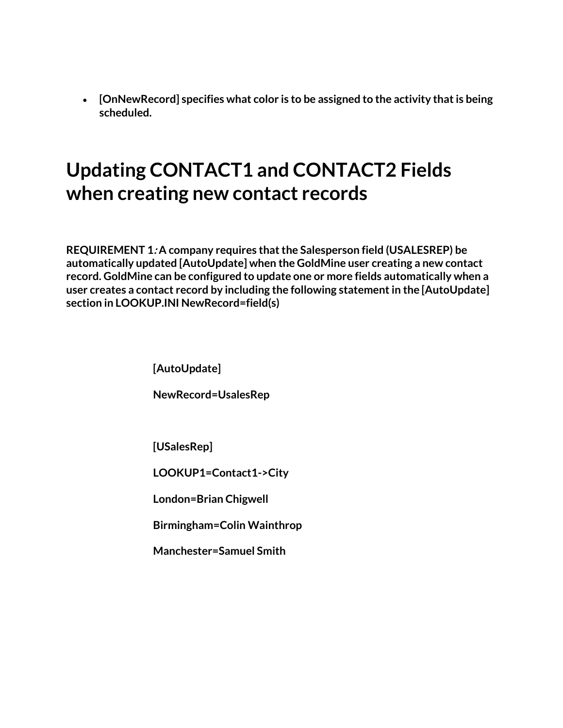• **[OnNewRecord] specifies what color is to be assigned to the activity that is being scheduled.**

### **Updating CONTACT1 and CONTACT2 Fields when creating new contact records**

**REQUIREMENT 1: A company requires that the Salesperson field (USALESREP) be automatically updated [AutoUpdate] when the GoldMine user creating a new contact record. GoldMine can be configured to update one or more fields automatically when a user creates a contact record by including the following statement in the [AutoUpdate] section in LOOKUP.INI NewRecord=field(s)**

**[AutoUpdate]**

**NewRecord=UsalesRep**

**[USalesRep]**

**LOOKUP1=Contact1->City**

**London=Brian Chigwell**

**Birmingham=Colin Wainthrop**

**Manchester=Samuel Smith**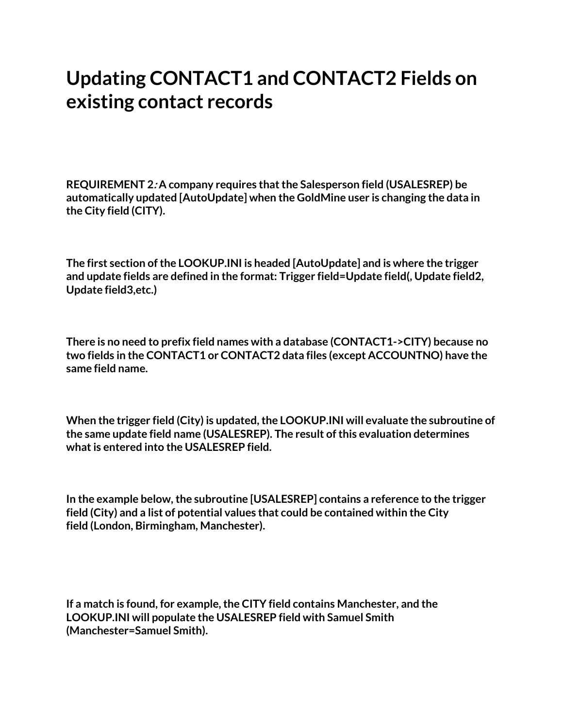#### **Updating CONTACT1 and CONTACT2 Fields on existing contact records**

**REQUIREMENT 2: A company requires that the Salesperson field (USALESREP) be automatically updated [AutoUpdate] when the GoldMine user is changing the data in the City field (CITY).**

**The first section of the LOOKUP.INI is headed [AutoUpdate] and is where the trigger and update fields are defined in the format: Trigger field=Update field(, Update field2, Update field3,etc.)**

**There is no need to prefix field names with a database (CONTACT1->CITY) because no two fields in the CONTACT1 or CONTACT2 data files (except ACCOUNTNO) have the same field name.**

**When the trigger field (City) is updated, the LOOKUP.INI will evaluate the subroutine of the same update field name (USALESREP). The result of this evaluation determines what is entered into the USALESREP field.**

**In the example below, the subroutine [USALESREP] contains a reference to the trigger field (City) and a list of potential values that could be contained within the City field (London, Birmingham, Manchester).**

**If a match is found, for example, the CITY field contains Manchester, and the LOOKUP.INI will populate the USALESREP field with Samuel Smith (Manchester=Samuel Smith).**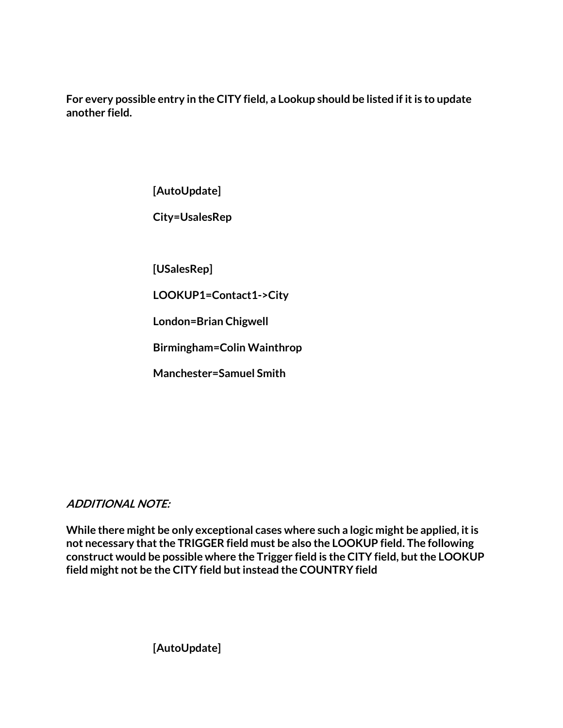**For every possible entry in the CITY field, a Lookup should be listed if it is to update another field.**

**[AutoUpdate]**

**City=UsalesRep**

**[USalesRep]**

**LOOKUP1=Contact1->City**

**London=Brian Chigwell**

**Birmingham=Colin Wainthrop**

**Manchester=Samuel Smith**

#### **ADDITIONAL NOTE:**

**While there might be only exceptional cases where such a logic might be applied, it is not necessary that the TRIGGER field must be also the LOOKUP field. The following construct would be possible where the Trigger field is the CITY field, but the LOOKUP field might not be the CITY field but instead the COUNTRY field**

**[AutoUpdate]**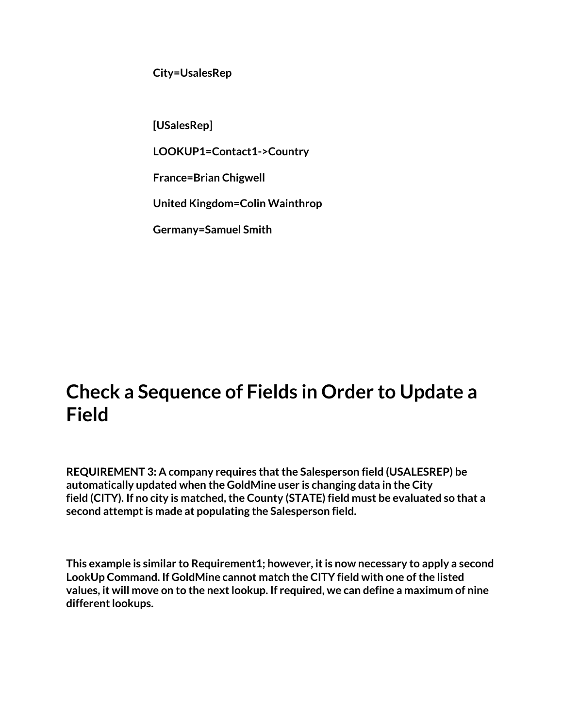**City=UsalesRep**

**[USalesRep]**

**LOOKUP1=Contact1->Country**

**France=Brian Chigwell**

**United Kingdom=Colin Wainthrop**

**Germany=Samuel Smith**

#### **Check a Sequence of Fields in Order to Update a Field**

**REQUIREMENT 3: A company requires that the Salesperson field (USALESREP) be automatically updated when the GoldMine user is changing data in the City field (CITY). If no city is matched, the County (STATE) field must be evaluated so that a second attempt is made at populating the Salesperson field.**

**This example is similar to Requirement1; however, it is now necessary to apply a second LookUp Command. If GoldMine cannot match the CITY field with one of the listed values, it will move on to the next lookup. If required, we can define a maximum of nine different lookups.**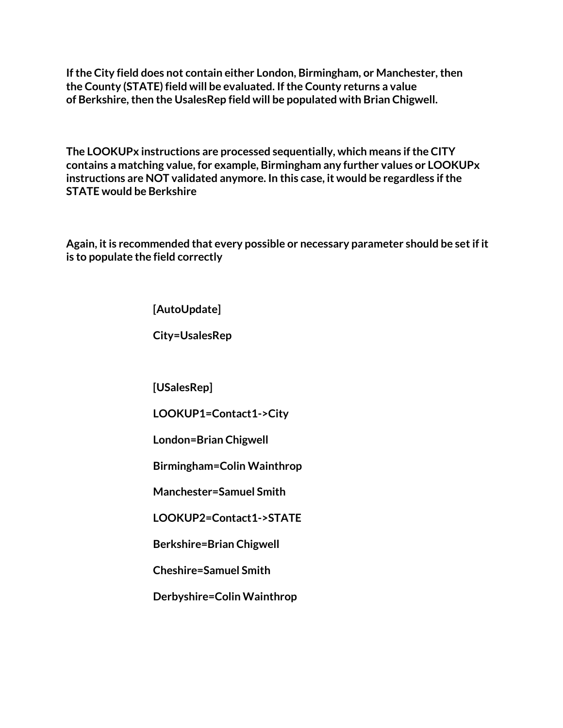**If the City field does not contain either London, Birmingham, or Manchester, then the County (STATE) field will be evaluated. If the County returns a value of Berkshire, then the UsalesRep field will be populated with Brian Chigwell.**

**The LOOKUPx instructions are processed sequentially, which means if the CITY contains a matching value, for example, Birmingham any further values or LOOKUPx instructions are NOT validated anymore. In this case, it would be regardless if the STATE would be Berkshire**

**Again, it is recommended that every possible or necessary parameter should be set if it is to populate the field correctly**

**[AutoUpdate]**

**City=UsalesRep**

**[USalesRep]**

**LOOKUP1=Contact1->City**

**London=Brian Chigwell**

**Birmingham=Colin Wainthrop**

**Manchester=Samuel Smith**

**LOOKUP2=Contact1->STATE**

**Berkshire=Brian Chigwell**

**Cheshire=Samuel Smith**

**Derbyshire=Colin Wainthrop**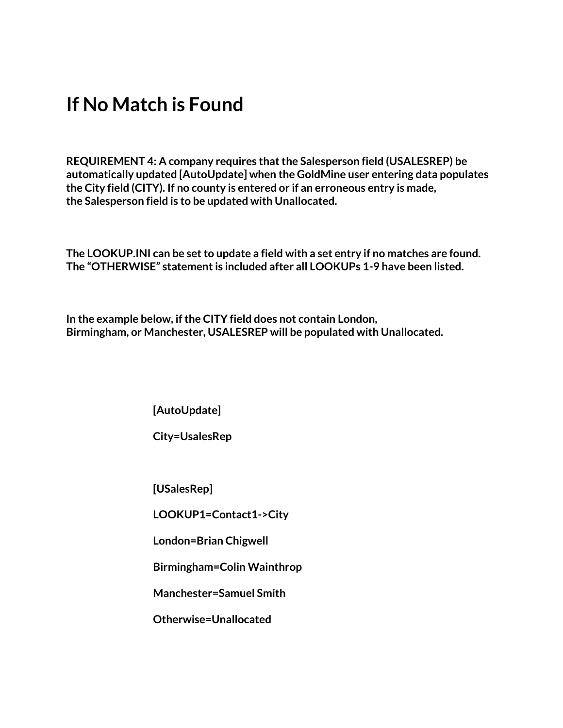#### **If No Match is Found**

**REQUIREMENT 4: A company requires that the Salesperson field (USALESREP) be automatically updated [AutoUpdate] when the GoldMine user entering data populates the City field (CITY). If no county is entered or if an erroneous entry is made, the Salesperson field is to be updated with Unallocated.**

**The LOOKUP.INI can be set to update a field with a set entry if no matches are found. The "OTHERWISE" statement is included after all LOOKUPs 1-9 have been listed.**

**In the example below, if the CITY field does not contain London, Birmingham, or Manchester, USALESREP will be populated with Unallocated.**

**[AutoUpdate]**

**City=UsalesRep**

**[USalesRep]**

**LOOKUP1=Contact1->City**

**London=Brian Chigwell**

**Birmingham=Colin Wainthrop**

**Manchester=Samuel Smith**

**Otherwise=Unallocated**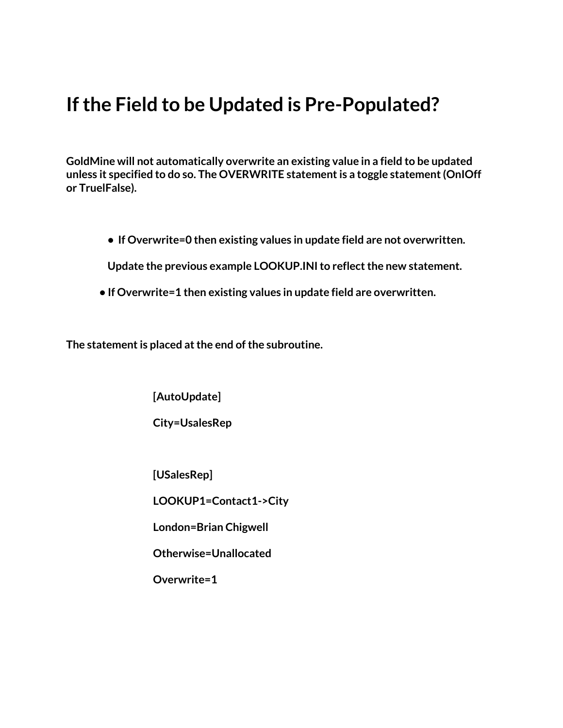#### **If the Field to be Updated is Pre-Populated?**

**GoldMine will not automatically overwrite an existing value in a field to be updated unless it specified to do so. The OVERWRITE statement is a toggle statement (OnIOff or TruelFalse).**

**• If Overwrite=0 then existing values in update field are not overwritten.**

**Update the previous example LOOKUP.INI to reflect the new statement.**

**• If Overwrite=1 then existing values in update field are overwritten.**

**The statement is placed at the end of the subroutine.**

**[AutoUpdate]**

**City=UsalesRep**

**[USalesRep]**

**LOOKUP1=Contact1->City**

**London=Brian Chigwell**

**Otherwise=Unallocated**

**Overwrite=1**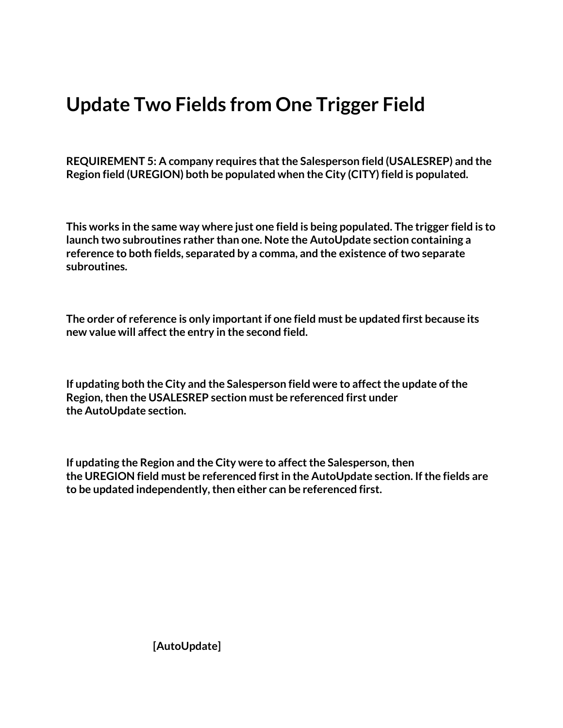#### **Update Two Fields from One Trigger Field**

**REQUIREMENT 5: A company requires that the Salesperson field (USALESREP) and the Region field (UREGION) both be populated when the City (CITY) field is populated.**

**This works in the same way where just one field is being populated. The trigger field is to launch two subroutines rather than one. Note the AutoUpdate section containing a reference to both fields, separated by a comma, and the existence of two separate subroutines.**

**The order of reference is only important if one field must be updated first because its new value will affect the entry in the second field.**

**If updating both the City and the Salesperson field were to affect the update of the Region, then the USALESREP section must be referenced first under the AutoUpdate section.**

**If updating the Region and the City were to affect the Salesperson, then the UREGION field must be referenced first in the AutoUpdate section. If the fields are to be updated independently, then either can be referenced first.**

**[AutoUpdate]**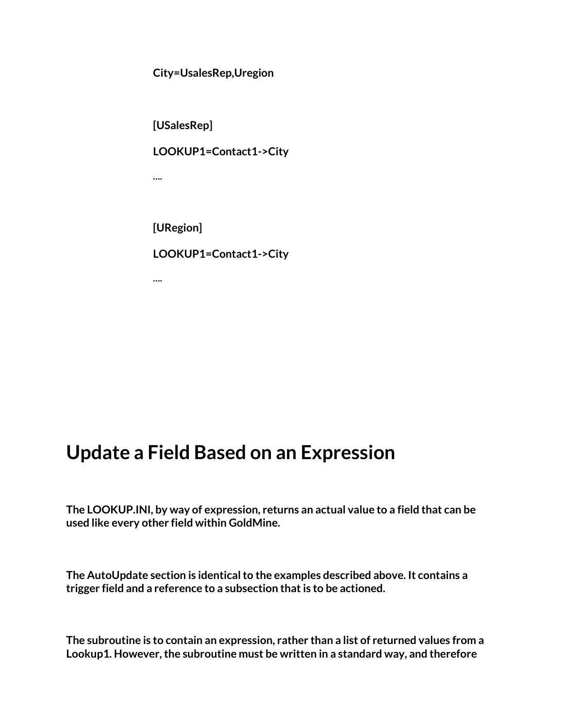**City=UsalesRep,Uregion**

**[USalesRep] LOOKUP1=Contact1->City …. [URegion]**

**LOOKUP1=Contact1->City**

**….**

#### **Update a Field Based on an Expression**

**The LOOKUP.INI, by way of expression, returns an actual value to a field that can be used like every other field within GoldMine.**

**The AutoUpdate section is identical to the examples described above. It contains a trigger field and a reference to a subsection that is to be actioned.**

**The subroutine is to contain an expression, rather than a list of returned values from a Lookup1. However, the subroutine must be written in a standard way, and therefore**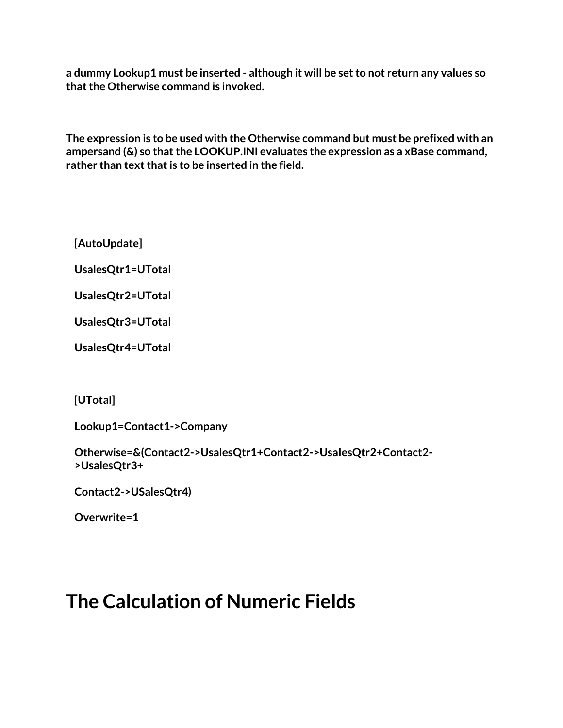**a dummy Lookup1 must be inserted - although it will be set to not return any values so that the Otherwise command is invoked.**

**The expression is to be used with the Otherwise command but must be prefixed with an ampersand (&) so that the LOOKUP.INI evaluates the expression as a xBase command, rather than text that is to be inserted in the field.**

**[AutoUpdate]**

**UsalesQtr1=UTotal**

**UsalesQtr2=UTotal**

**UsalesQtr3=UTotal**

**UsalesQtr4=UTotal**

**[UTotal]**

**Lookup1=Contact1->Company**

**Otherwise=&(Contact2->UsalesQtr1+Contact2->UsaIesQtr2+Contact2- >UsalesQtr3+**

**Contact2->USalesQtr4)**

**Overwrite=1**

#### **The Calculation of Numeric Fields**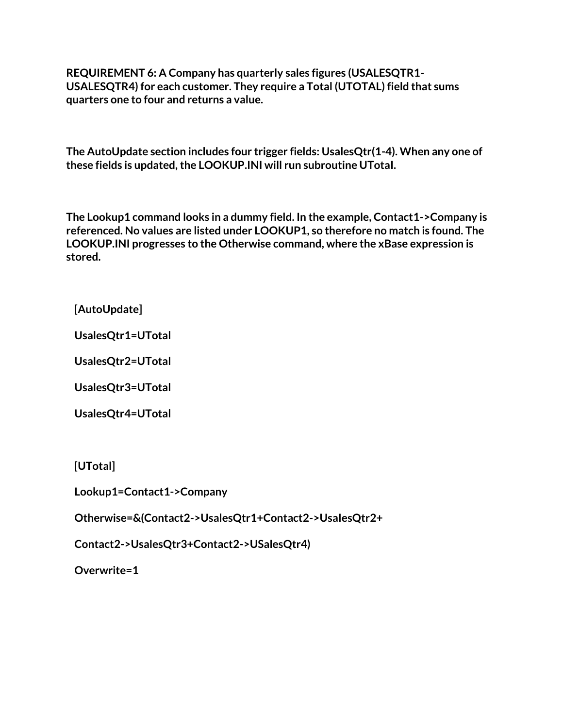**REQUIREMENT 6: A Company has quarterly sales figures (USALESQTR1- USALESQTR4) for each customer. They require a Total (UTOTAL) field that sums quarters one to four and returns a value.**

**The AutoUpdate section includes four trigger fields: UsalesQtr(1-4). When any one of these fields is updated, the LOOKUP.INI will run subroutine UTotaI.**

**The Lookup1 command looks in a dummy field. In the example, Contact1->Company is referenced. No values are listed under LOOKUP1, so therefore no match is found. The LOOKUP.INI progresses to the Otherwise command, where the xBase expression is stored.**

**[AutoUpdate]**

**UsalesQtr1=UTotal**

**UsalesQtr2=UTotal**

**UsalesQtr3=UTotal**

**UsalesQtr4=UTotal**

**[UTotal]**

**Lookup1=Contact1->Company**

**Otherwise=&(Contact2->UsalesQtr1+Contact2->UsaIesQtr2+**

**Contact2->UsalesQtr3+Contact2->USalesQtr4)**

**Overwrite=1**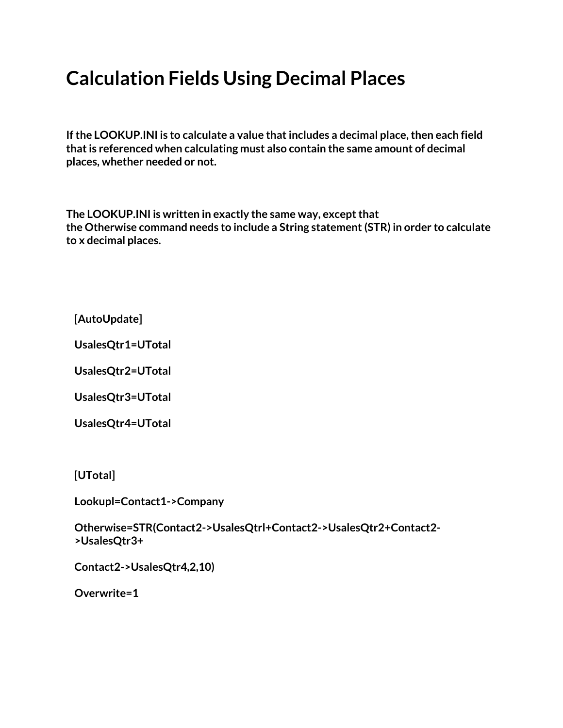## **Calculation Fields Using Decimal Places**

**If the LOOKUP.INI is to calculate a value that includes a decimal place, then each field that is referenced when calculating must also contain the same amount of decimal places, whether needed or not.**

**The LOOKUP.INI is written in exactly the same way, except that the Otherwise command needs to include a String statement (STR) in order to calculate to x decimal places.**

**[AutoUpdate]**

**UsalesQtr1=UTotal**

**UsalesQtr2=UTotal**

**UsalesQtr3=UTotal**

**UsalesQtr4=UTotal**

**[UTotal]**

**Lookupl=Contact1->Company**

**Otherwise=STR(Contact2->UsalesQtrl+Contact2->UsalesQtr2+Contact2- >UsalesQtr3+**

**Contact2->UsalesQtr4,2,10)**

**Overwrite=1**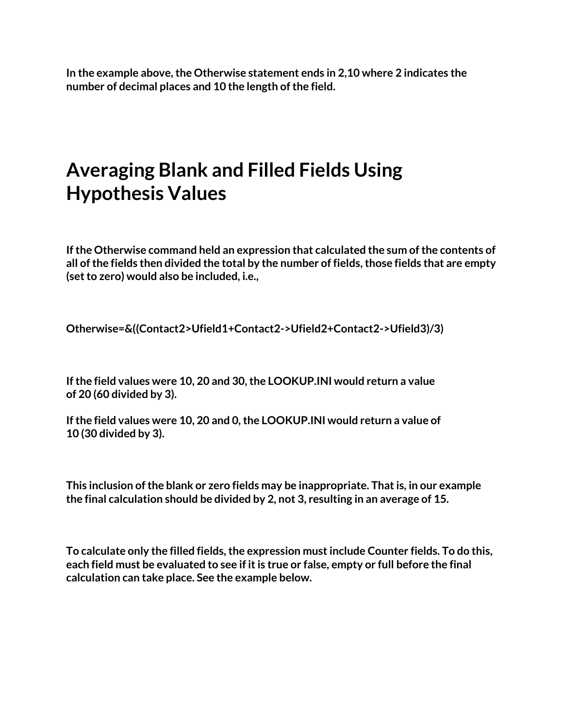**In the example above, the Otherwise statement ends in 2,10 where 2 indicates the number of decimal places and 10 the length of the field.**

#### **Averaging Blank and Filled Fields Using Hypothesis Values**

**If the Otherwise command held an expression that calculated the sum of the contents of all of the fields then divided the total by the number of fields, those fields that are empty (set to zero) would also be included, i.e.,**

**Otherwise=&((Contact2>Ufield1+Contact2->Ufield2+Contact2->Ufield3)/3)**

**If the field values were 10, 20 and 30, the LOOKUP.INI would return a value of 20 (60 divided by 3).**

**If the field values were 10, 20 and 0, the LOOKUP.INI would return a value of 10 (30 divided by 3).**

**This inclusion of the blank or zero fields may be inappropriate. That is, in our example the final calculation should be divided by 2, not 3, resulting in an average of 15.**

**To calculate only the filled fields, the expression must include Counter fields. To do this, each field must be evaluated to see if it is true or false, empty or full before the final calculation can take place. See the example below.**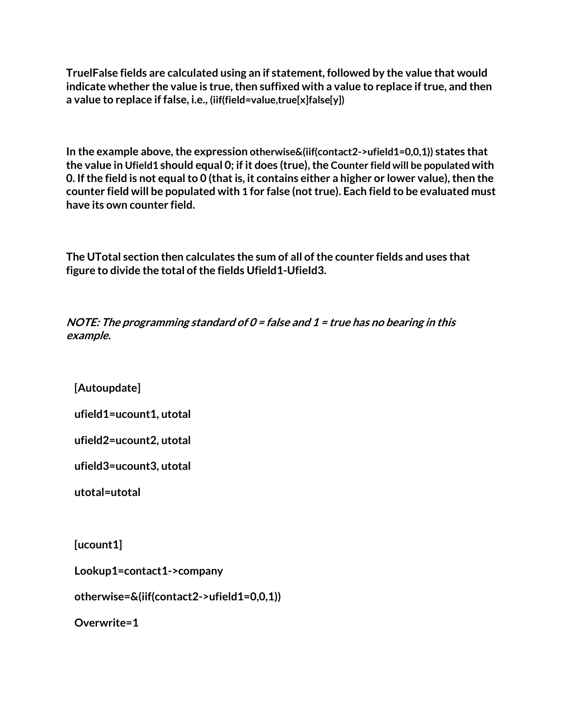**TruelFalse fields are calculated using an if statement, followed by the value that would indicate whether the value is true, then suffixed with a value to replace if true, and then a value to replace if false, i.e., (iif(field=value,true[x]false[y])**

**In the example above, the expression otherwise&(iif(contact2->ufield1=0,0,1)) states that the value in Ufield1 should equal 0; if it does (true), the Counter field will be populated with 0. If the field is not equal to 0 (that is, it contains either a higher or lower value), then the counter field will be populated with 1 for false (not true). Each field to be evaluated must have its own counter field.**

**The UTotal section then calculates the sum of all of the counter fields and uses that figure to divide the total of the fields Ufield1-UfieId3.**

**NOTE: The programming standard of 0 = false and 1 = true has no bearing in this example.**

**[Autoupdate]**

**ufield1=ucount1, utotal**

```
ufield2=ucount2, utotal
```
**ufield3=ucount3, utotal**

**utotal=utotal**

**[ucount1]**

**Lookup1=contact1->company**

**otherwise=&(iif(contact2->ufield1=0,0,1))**

**Overwrite=1**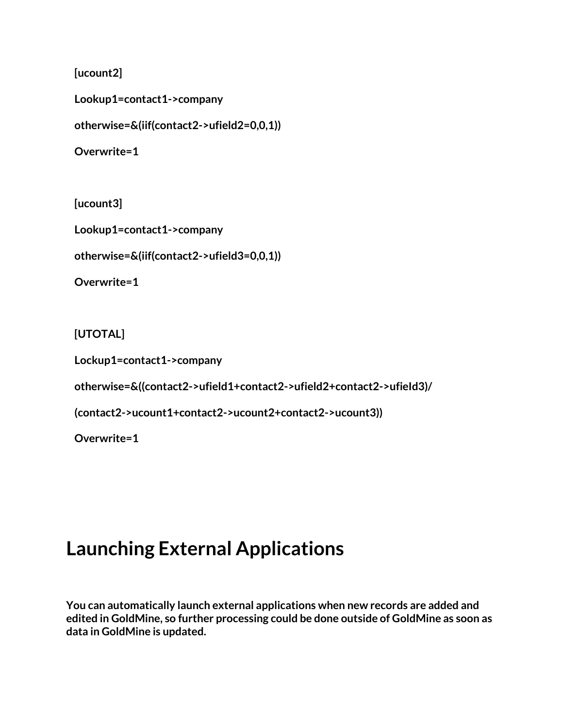**[ucount2]**

**Lookup1=contact1->company**

**otherwise=&(iif(contact2->ufield2=0,0,1))**

**Overwrite=1**

**[ucount3]**

**Lookup1=contact1->company**

**otherwise=&(iif(contact2->ufield3=0,0,1))**

**Overwrite=1**

**[UTOTAL]**

**Lockup1=contact1->company**

**otherwise=&((contact2->ufield1+contact2->ufield2+contact2->ufieId3)/**

**(contact2->ucount1+contact2->ucount2+contact2->ucount3))**

**Overwrite=1**

#### **Launching External Applications**

**You can automatically launch external applications when new records are added and edited in GoldMine, so further processing could be done outside of GoldMine as soon as data in GoldMine is updated.**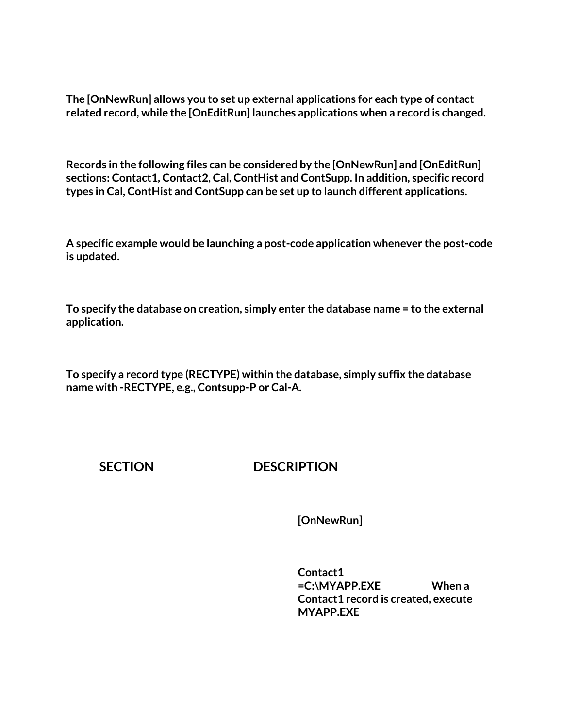**The [OnNewRun] allows you to set up external applications for each type of contact related record, while the [OnEditRun] launches applications when a record is changed.**

**Records in the following files can be considered by the [OnNewRun] and [OnEditRun] sections: Contact1, Contact2, Cal, ContHist and ContSupp. In addition, specific record types in Cal, ContHist and ContSupp can be set up to launch different applications.**

**A specific example would be launching a post-code application whenever the post-code is updated.**

**To specify the database on creation, simply enter the database name = to the external application.**

**To specify a record type (RECTYPE) within the database, simply suffix the database name with -RECTYPE, e.g., Contsupp-P or Cal-A.**

**SECTION DESCRIPTION**

**[OnNewRun]** 

**Contact1 =C:\MYAPP.EXE When a Contact1 record is created, execute MYAPP.EXE**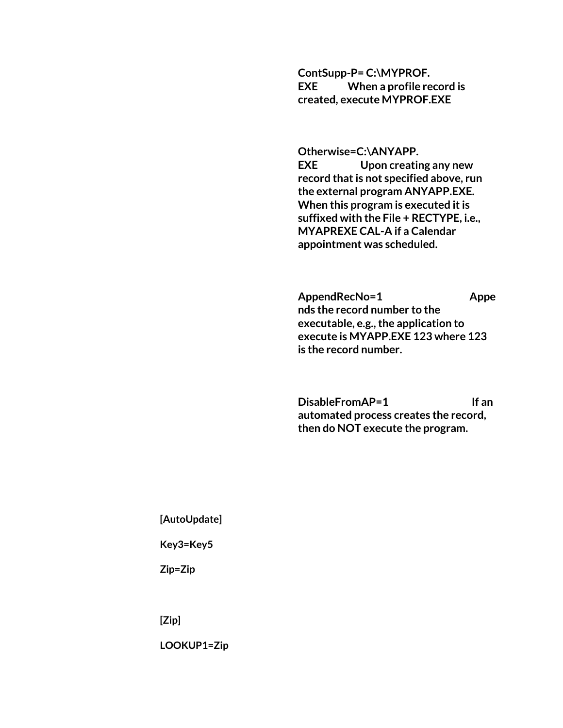**ContSupp-P= C:\MYPROF. EXE When a profile record is created, execute MYPROF.EXE**

**Otherwise=C:\ANYAPP. EXE Upon creating any new record that is not specified above, run the external program ANYAPP.EXE. When this program is executed it is suffixed with the File + RECTYPE, i.e., MYAPREXE CAL-A if a Calendar appointment was scheduled.**

AppendRecNo=1 Appe **nds the record number to the executable, e.g., the application to execute is MYAPP.EXE 123 where 123 is the record number.**

DisableFromAP=1 If an **automated process creates the record, then do NOT execute the program.**

 **[AutoUpdate]**

 **Key3=Key5**

 **Zip=Zip**

 **[Zip]**

 **LOOKUP1=Zip**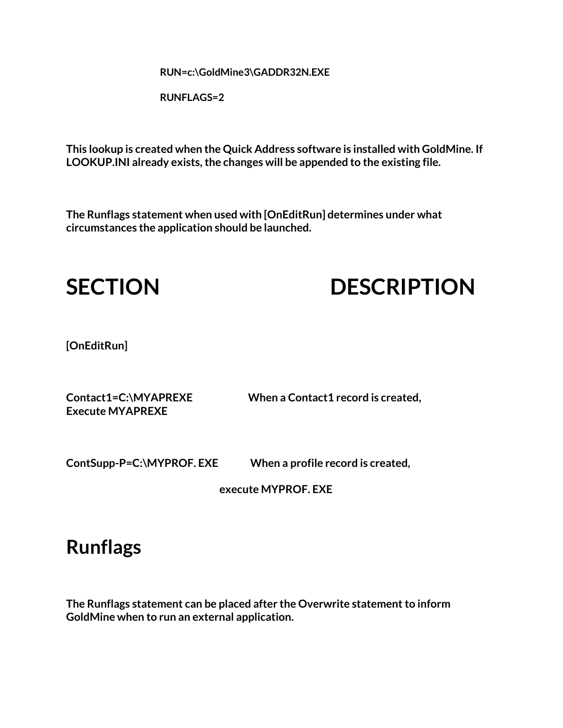**RUN=c:\GoldMine3\GADDR32N.EXE**

 **RUNFLAGS=2**

**This lookup is created when the Quick Address software is installed with GoldMine. If LOOKUP.INI already exists, the changes will be appended to the existing file.**

**The Runflags statement when used with [OnEditRun] determines under what circumstances the application should be launched.**



# **SECTION DESCRIPTION**

**[OnEditRun]**

**Execute MYAPREXE**

**Contact1=C:\MYAPREXE When a Contact1 record is created,**

**ContSupp-P=C:\MYPROF. EXE When a profile record is created,**

 **execute MYPROF. EXE**

#### **Runflags**

**The Runflags statement can be placed after the Overwrite statement to inform GoldMine when to run an external application.**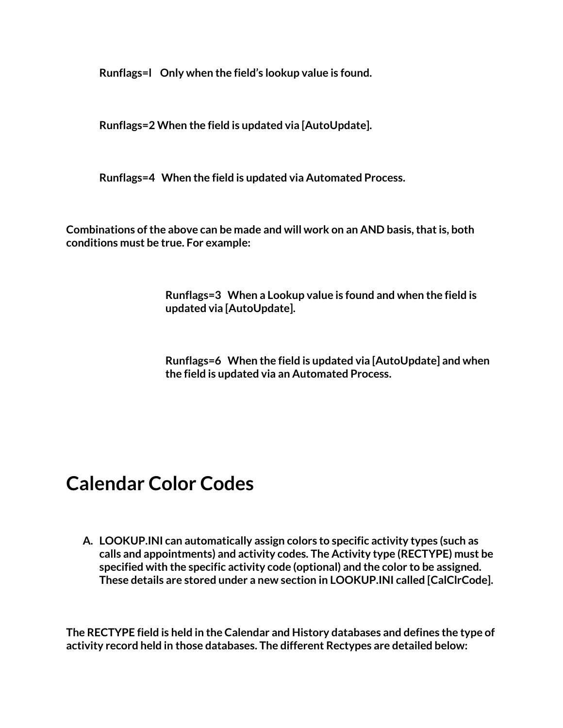**Runflags=l Only when the field's lookup value is found.**

**Runflags=2 When the field is updated via [AutoUpdate].**

**Runflags=4 When the field is updated via Automated Process.**

**Combinations of the above can be made and will work on an AND basis, that is, both conditions must be true. For example:**

> **Runflags=3 When a Lookup value is found and when the field is updated via [AutoUpdate].**

**Runflags=6 When the field is updated via [AutoUpdate] and when the field is updated via an Automated Process.**

#### **Calendar Color Codes**

**A. LOOKUP.INI can automatically assign colors to specific activity types (such as calls and appointments) and activity codes. The Activity type (RECTYPE) must be specified with the specific activity code (optional) and the color to be assigned. These details are stored under a new section in LOOKUP.INI called [CalClrCode].**

**The RECTYPE field is held in the Calendar and History databases and defines the type of activity record held in those databases. The different Rectypes are detailed below:**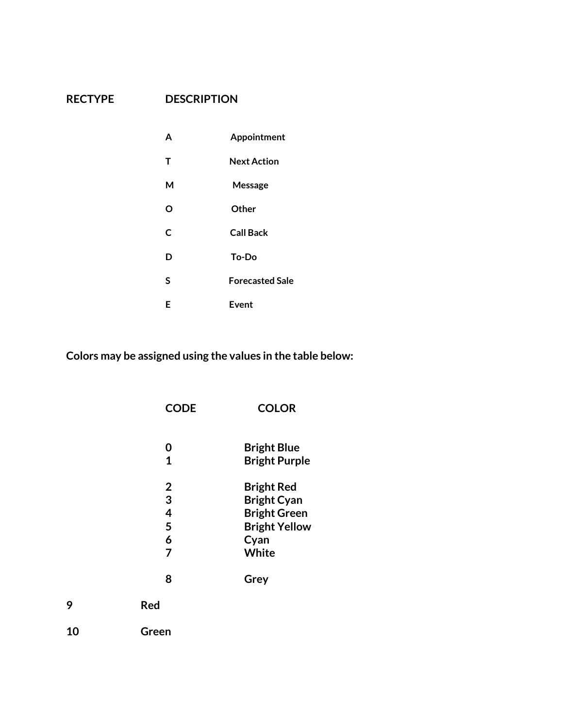#### **RECTYPE DESCRIPTION**

| A | Appointment            |
|---|------------------------|
| т | <b>Next Action</b>     |
| м | Message                |
| O | Other                  |
| C | <b>Call Back</b>       |
| D | To-Do                  |
| S | <b>Forecasted Sale</b> |
| Е | Event                  |

**Colors may be assigned using the values in the table below:**

|    | <b>CODE</b>                             | <b>COLOR</b>                                                                                            |
|----|-----------------------------------------|---------------------------------------------------------------------------------------------------------|
|    | 0<br>1                                  | <b>Bright Blue</b><br><b>Bright Purple</b>                                                              |
|    | $\overline{2}$<br>3<br>4<br>5<br>6<br>7 | <b>Bright Red</b><br><b>Bright Cyan</b><br><b>Bright Green</b><br><b>Bright Yellow</b><br>Cyan<br>White |
|    | 8                                       | Grey                                                                                                    |
| 9  | <b>Red</b>                              |                                                                                                         |
| 10 | Green                                   |                                                                                                         |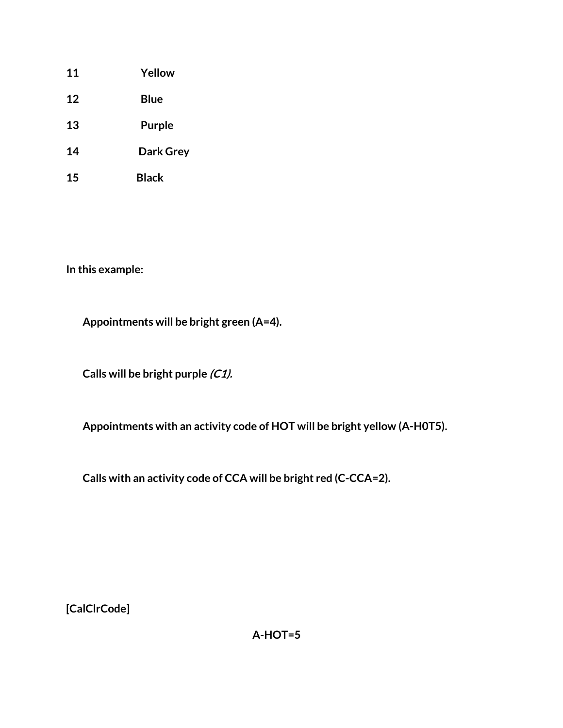- **11 Yellow**
- **12 Blue**
- **13 Purple**
- **14 Dark Grey**
- **15 Black**

**In this example:**

**Appointments will be bright green (A=4).**

**Calls will be bright purple (C1).**

**Appointments with an activity code of HOT will be bright yellow (A-H0T5).**

**Calls with an activity code of CCA will be bright red (C-CCA=2).**

**[CalClrCode]**